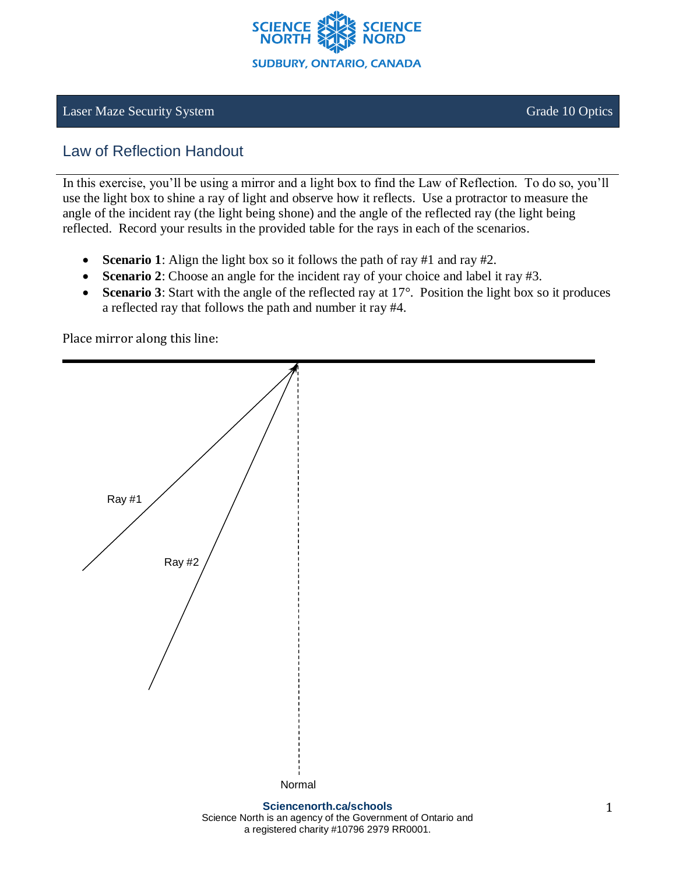

## **Laser Maze Security System Crade 10 Optics** Grade 10 Optics

# Law of Reflection Handout

In this exercise, you'll be using a mirror and a light box to find the Law of Reflection. To do so, you'll use the light box to shine a ray of light and observe how it reflects. Use a protractor to measure the angle of the incident ray (the light being shone) and the angle of the reflected ray (the light being reflected. Record your results in the provided table for the rays in each of the scenarios.

- **Scenario 1**: Align the light box so it follows the path of ray #1 and ray #2.
- **Scenario 2**: Choose an angle for the incident ray of your choice and label it ray #3.
- **Scenario 3**: Start with the angle of the reflected ray at 17°. Position the light box so it produces a reflected ray that follows the path and number it ray #4.

Place mirror along this line: